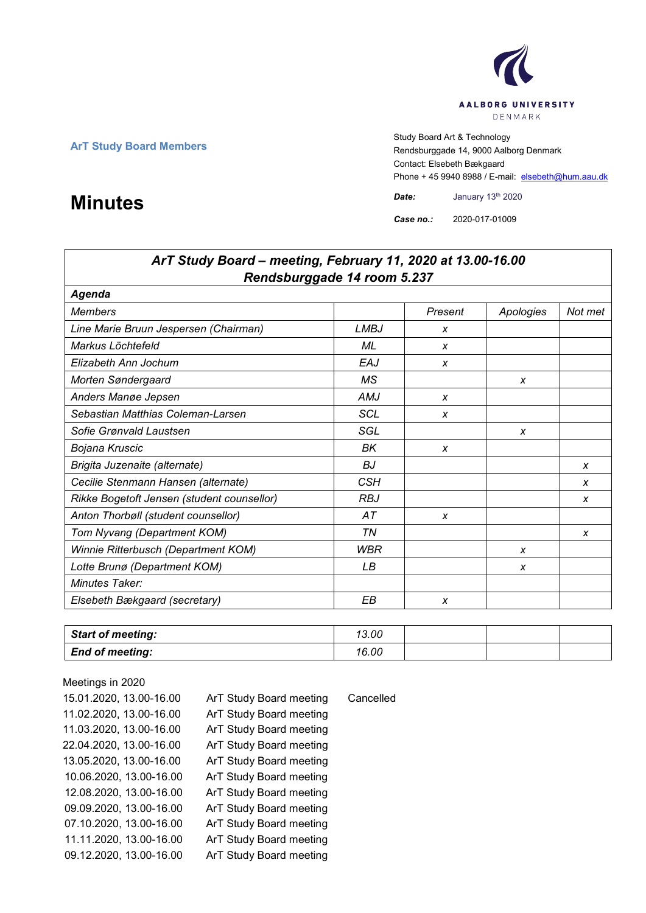

**ArT Study Board Members** Study Board Art & Technology **Art Study Board Art & Technology** Rendsburggade 14, 9000 Aalborg Denmark Contact: Elsebeth Bækgaard Phone + 45 9940 8988 / E-mail: elsebeth@hum.aau.dk

*Case no.:* 2020-017-01009

# *ArT Study Board – meeting, February 11, 2020 at 13.00-16.00 Rendsburggade 14 room 5.237 Agenda Members Present Apologies Not met Line Marie Bruun Jespersen (Chairman) LMBJ x Markus Löchtefeld ML x Elizabeth Ann Jochum EAJ x Morten Søndergaard MS x* Anders Manøe Jepsen **AMJ** *x Sebastian Matthias Coleman-Larsen SCL x Sofie Grønvald Laustsen SGL x Bojana Kruscic BK x Brigita Juzenaite (alternate) BJ x Cecilie Stenmann Hansen (alternate) CSH x Rikke Bogetoft Jensen (student counsellor) RBJ x Anton Thorbøll (student counsellor) AT x Tom Nyvang (Department KOM) TN x Winnie Ritterbusch (Department KOM) WBR x Lotte Brunø (Department KOM) LB x Minutes Taker: Elsebeth Bækgaard (secretary) EB x*

| <b>Start of meeting:</b> | 13.00 |  |  |
|--------------------------|-------|--|--|
| <b>End of meeting:</b>   | 16.00 |  |  |

Meetings in 2020 15.01.2020, 13.00-16.00 ArT Study Board meeting Cancelled 11.02.2020, 13.00-16.00 ArT Study Board meeting 11.03.2020, 13.00-16.00 ArT Study Board meeting 22.04.2020, 13.00-16.00 ArT Study Board meeting 13.05.2020, 13.00-16.00 ArT Study Board meeting 10.06.2020, 13.00-16.00 ArT Study Board meeting 12.08.2020, 13.00-16.00 ArT Study Board meeting 09.09.2020, 13.00-16.00 ArT Study Board meeting 07.10.2020, 13.00-16.00 ArT Study Board meeting 11.11.2020, 13.00-16.00 ArT Study Board meeting 09.12.2020, 13.00-16.00 ArT Study Board meeting

# **Minutes** *Date:* January 13<sup>th</sup> 2020<br> **Case no.:** 2020-017-01009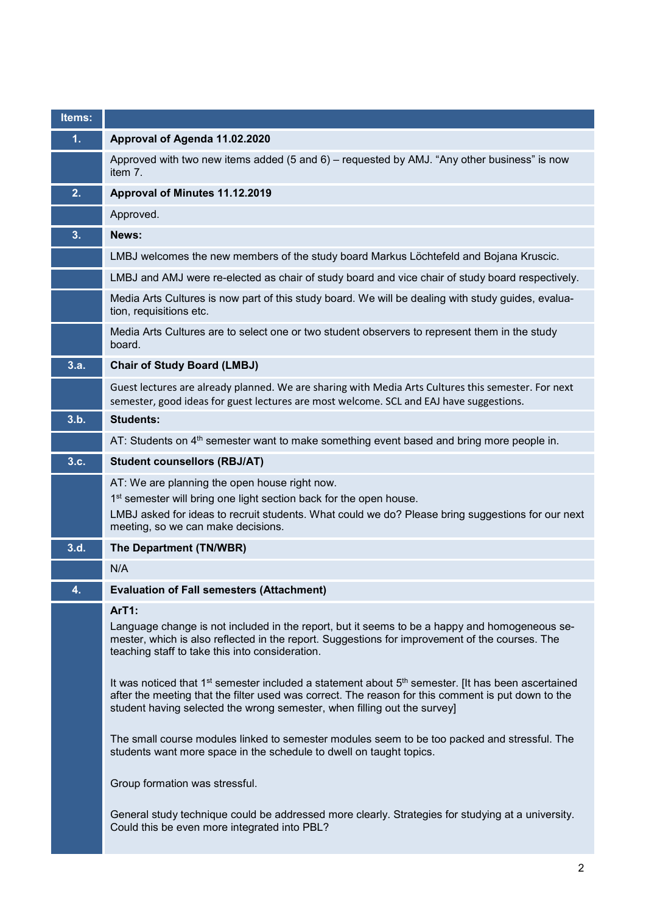| Items: |                                                                                                                                                                                                                                                                                                              |
|--------|--------------------------------------------------------------------------------------------------------------------------------------------------------------------------------------------------------------------------------------------------------------------------------------------------------------|
| 1.     | Approval of Agenda 11.02.2020                                                                                                                                                                                                                                                                                |
|        | Approved with two new items added (5 and 6) – requested by AMJ. "Any other business" is now<br>item 7.                                                                                                                                                                                                       |
| 2.     | Approval of Minutes 11.12.2019                                                                                                                                                                                                                                                                               |
|        | Approved.                                                                                                                                                                                                                                                                                                    |
| 3.     | News:                                                                                                                                                                                                                                                                                                        |
|        | LMBJ welcomes the new members of the study board Markus Löchtefeld and Bojana Kruscic.                                                                                                                                                                                                                       |
|        | LMBJ and AMJ were re-elected as chair of study board and vice chair of study board respectively.                                                                                                                                                                                                             |
|        | Media Arts Cultures is now part of this study board. We will be dealing with study guides, evalua-<br>tion, requisitions etc.                                                                                                                                                                                |
|        | Media Arts Cultures are to select one or two student observers to represent them in the study<br>board.                                                                                                                                                                                                      |
| 3.a.   | <b>Chair of Study Board (LMBJ)</b>                                                                                                                                                                                                                                                                           |
|        | Guest lectures are already planned. We are sharing with Media Arts Cultures this semester. For next<br>semester, good ideas for guest lectures are most welcome. SCL and EAJ have suggestions.                                                                                                               |
| 3.b.   | <b>Students:</b>                                                                                                                                                                                                                                                                                             |
|        | AT: Students on 4 <sup>th</sup> semester want to make something event based and bring more people in.                                                                                                                                                                                                        |
| 3.c.   | <b>Student counsellors (RBJ/AT)</b>                                                                                                                                                                                                                                                                          |
|        | AT: We are planning the open house right now.<br>1 <sup>st</sup> semester will bring one light section back for the open house.                                                                                                                                                                              |
|        | LMBJ asked for ideas to recruit students. What could we do? Please bring suggestions for our next<br>meeting, so we can make decisions.                                                                                                                                                                      |
| 3.d.   | The Department (TN/WBR)                                                                                                                                                                                                                                                                                      |
|        | N/A                                                                                                                                                                                                                                                                                                          |
| 4.     | <b>Evaluation of Fall semesters (Attachment)</b>                                                                                                                                                                                                                                                             |
|        | ArT1:<br>Language change is not included in the report, but it seems to be a happy and homogeneous se-<br>mester, which is also reflected in the report. Suggestions for improvement of the courses. The<br>teaching staff to take this into consideration.                                                  |
|        | It was noticed that 1 <sup>st</sup> semester included a statement about 5 <sup>th</sup> semester. [It has been ascertained<br>after the meeting that the filter used was correct. The reason for this comment is put down to the<br>student having selected the wrong semester, when filling out the survey] |
|        | The small course modules linked to semester modules seem to be too packed and stressful. The<br>students want more space in the schedule to dwell on taught topics.                                                                                                                                          |
|        | Group formation was stressful.                                                                                                                                                                                                                                                                               |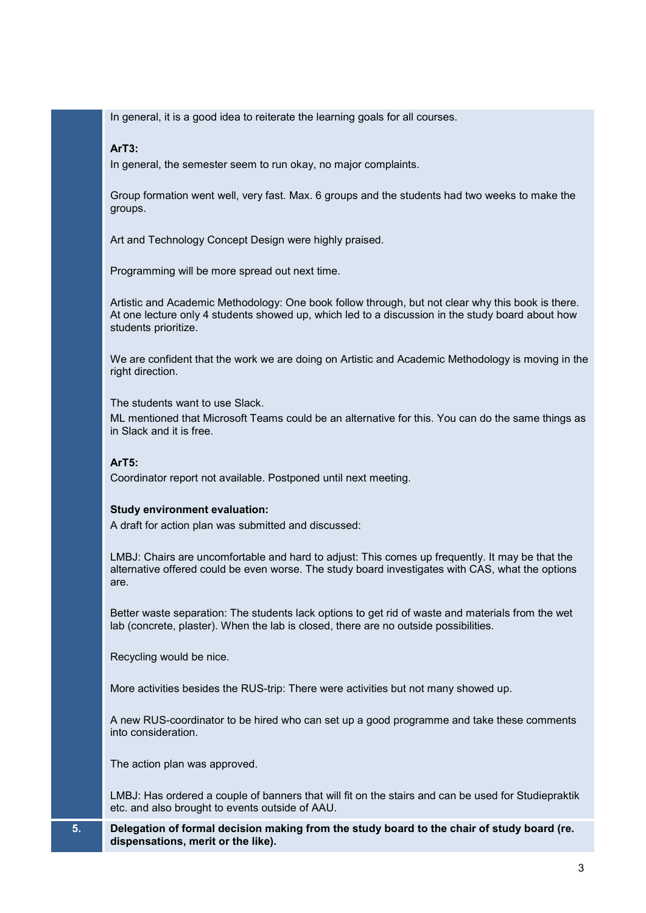In general, it is a good idea to reiterate the learning goals for all courses.

## **ArT3:**

In general, the semester seem to run okay, no major complaints.

Group formation went well, very fast. Max. 6 groups and the students had two weeks to make the groups.

Art and Technology Concept Design were highly praised.

Programming will be more spread out next time.

Artistic and Academic Methodology: One book follow through, but not clear why this book is there. At one lecture only 4 students showed up, which led to a discussion in the study board about how students prioritize.

We are confident that the work we are doing on Artistic and Academic Methodology is moving in the right direction.

The students want to use Slack.

ML mentioned that Microsoft Teams could be an alternative for this. You can do the same things as in Slack and it is free.

### **ArT5:**

Coordinator report not available. Postponed until next meeting.

#### **Study environment evaluation:**

A draft for action plan was submitted and discussed:

LMBJ: Chairs are uncomfortable and hard to adjust: This comes up frequently. It may be that the alternative offered could be even worse. The study board investigates with CAS, what the options are.

Better waste separation: The students lack options to get rid of waste and materials from the wet lab (concrete, plaster). When the lab is closed, there are no outside possibilities.

Recycling would be nice.

More activities besides the RUS-trip: There were activities but not many showed up.

A new RUS-coordinator to be hired who can set up a good programme and take these comments into consideration.

The action plan was approved.

LMBJ: Has ordered a couple of banners that will fit on the stairs and can be used for Studiepraktik etc. and also brought to events outside of AAU.

#### **5. Delegation of formal decision making from the study board to the chair of study board (re. dispensations, merit or the like).**